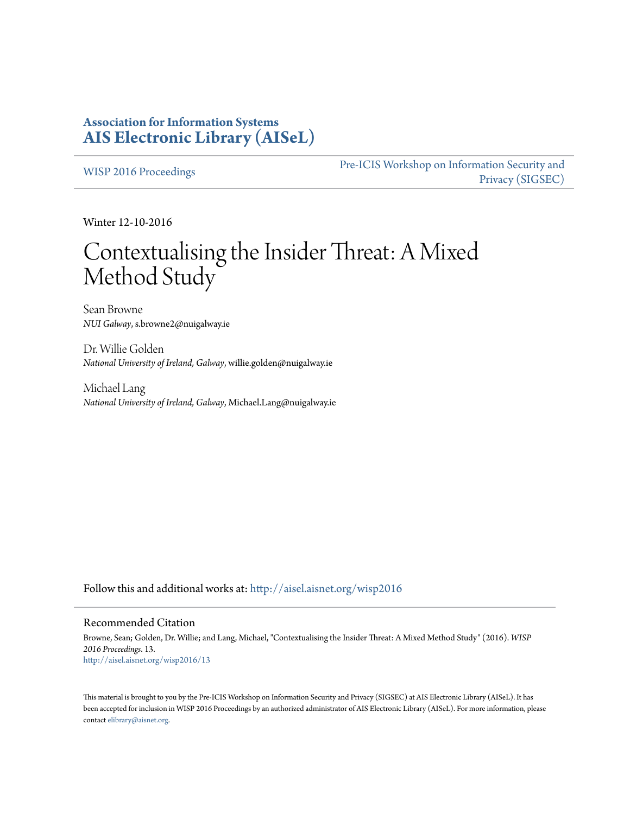## **Association for Information Systems [AIS Electronic Library \(AISeL\)](http://aisel.aisnet.org?utm_source=aisel.aisnet.org%2Fwisp2016%2F13&utm_medium=PDF&utm_campaign=PDFCoverPages)**

[WISP 2016 Proceedings](http://aisel.aisnet.org/wisp2016?utm_source=aisel.aisnet.org%2Fwisp2016%2F13&utm_medium=PDF&utm_campaign=PDFCoverPages)

[Pre-ICIS Workshop on Information Security and](http://aisel.aisnet.org/sigsec?utm_source=aisel.aisnet.org%2Fwisp2016%2F13&utm_medium=PDF&utm_campaign=PDFCoverPages) [Privacy \(SIGSEC\)](http://aisel.aisnet.org/sigsec?utm_source=aisel.aisnet.org%2Fwisp2016%2F13&utm_medium=PDF&utm_campaign=PDFCoverPages)

Winter 12-10-2016

# Contextualising the Insider Threat: A Mixed Method Study

Sean Browne *NUI Galway*, s.browne2@nuigalway.ie

Dr. Willie Golden *National University of Ireland, Galway*, willie.golden@nuigalway.ie

Michael Lang *National University of Ireland, Galway*, Michael.Lang@nuigalway.ie

Follow this and additional works at: [http://aisel.aisnet.org/wisp2016](http://aisel.aisnet.org/wisp2016?utm_source=aisel.aisnet.org%2Fwisp2016%2F13&utm_medium=PDF&utm_campaign=PDFCoverPages)

#### Recommended Citation

Browne, Sean; Golden, Dr. Willie; and Lang, Michael, "Contextualising the Insider Threat: A Mixed Method Study" (2016). *WISP 2016 Proceedings*. 13. [http://aisel.aisnet.org/wisp2016/13](http://aisel.aisnet.org/wisp2016/13?utm_source=aisel.aisnet.org%2Fwisp2016%2F13&utm_medium=PDF&utm_campaign=PDFCoverPages)

This material is brought to you by the Pre-ICIS Workshop on Information Security and Privacy (SIGSEC) at AIS Electronic Library (AISeL). It has been accepted for inclusion in WISP 2016 Proceedings by an authorized administrator of AIS Electronic Library (AISeL). For more information, please contact [elibrary@aisnet.org.](mailto:elibrary@aisnet.org%3E)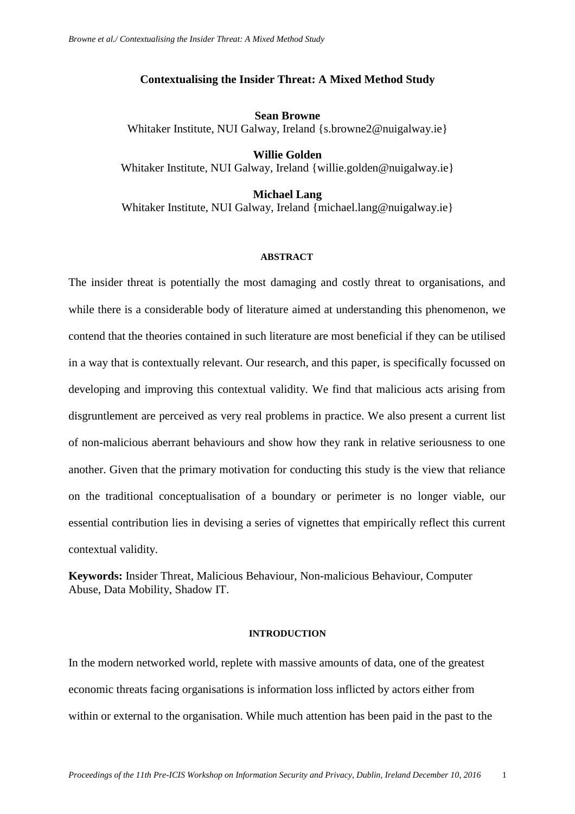## **Contextualising the Insider Threat: A Mixed Method Study**

**Sean Browne** Whitaker Institute, NUI Galway, Ireland [{s.browne2@nuigalway.ie}](mailto:s.browne2@nuigalway.ie)

**Willie Golden** Whitaker Institute, NUI Galway, Ireland [{willie.golden@nuigalway.ie}](mailto:willie.golden@nuigalway.ie)

**Michael Lang** Whitaker Institute, NUI Galway, Ireland [{michael.lang@nuigalway.ie}](mailto:michael.lang@nuigalway.ie)

#### **ABSTRACT**

The insider threat is potentially the most damaging and costly threat to organisations, and while there is a considerable body of literature aimed at understanding this phenomenon, we contend that the theories contained in such literature are most beneficial if they can be utilised in a way that is contextually relevant. Our research, and this paper, is specifically focussed on developing and improving this contextual validity. We find that malicious acts arising from disgruntlement are perceived as very real problems in practice. We also present a current list of non-malicious aberrant behaviours and show how they rank in relative seriousness to one another. Given that the primary motivation for conducting this study is the view that reliance on the traditional conceptualisation of a boundary or perimeter is no longer viable, our essential contribution lies in devising a series of vignettes that empirically reflect this current contextual validity.

**Keywords:** Insider Threat, Malicious Behaviour, Non-malicious Behaviour, Computer Abuse, Data Mobility, Shadow IT.

### **INTRODUCTION**

In the modern networked world, replete with massive amounts of data, one of the greatest economic threats facing organisations is information loss inflicted by actors either from within or external to the organisation. While much attention has been paid in the past to the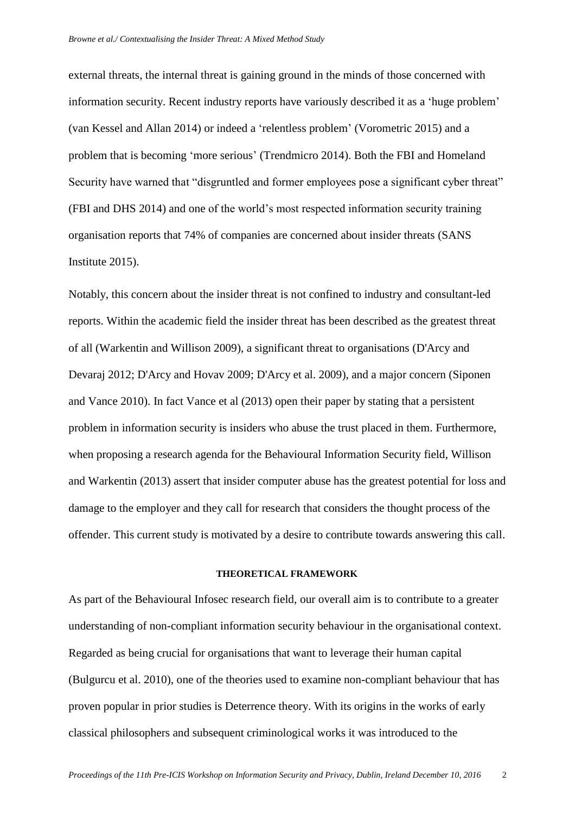external threats, the internal threat is gaining ground in the minds of those concerned with information security. Recent industry reports have variously described it as a 'huge problem' [\(van Kessel and Allan 2014\)](#page-19-0) or indeed a 'relentless problem' [\(Vorometric 2015\)](#page-19-1) and a problem that is becoming 'more serious' [\(Trendmicro 2014\)](#page-19-2). Both the FBI and Homeland Security have warned that "disgruntled and former employees pose a significant cyber threat" [\(FBI and DHS 2014\)](#page-18-0) and one of the world's most respected information security training organisation reports that 74% of companies are concerned about insider threats [\(SANS](#page-19-3)  [Institute 2015\)](#page-19-3).

Notably, this concern about the insider threat is not confined to industry and consultant-led reports. Within the academic field the insider threat has been described as the greatest threat of all [\(Warkentin and Willison 2009\)](#page-19-4), a significant threat to organisations [\(D'Arcy and](#page-18-1)  [Devaraj 2012;](#page-18-1) [D'Arcy and Hovav 2009;](#page-18-2) [D'Arcy et al. 2009\)](#page-18-3), and a major concern [\(Siponen](#page-19-5)  [and Vance 2010\)](#page-19-5). In fact Vance et al [\(2013\)](#page-19-6) open their paper by stating that a persistent problem in information security is insiders who abuse the trust placed in them. Furthermore, when proposing a research agenda for the Behavioural Information Security field, Willison and Warkentin [\(2013\)](#page-19-7) assert that insider computer abuse has the greatest potential for loss and damage to the employer and they call for research that considers the thought process of the offender. This current study is motivated by a desire to contribute towards answering this call.

#### **THEORETICAL FRAMEWORK**

As part of the Behavioural Infosec research field, our overall aim is to contribute to a greater understanding of non-compliant information security behaviour in the organisational context. Regarded as being crucial for organisations that want to leverage their human capital [\(Bulgurcu et al. 2010\)](#page-18-4), one of the theories used to examine non-compliant behaviour that has proven popular in prior studies is Deterrence theory. With its origins in the works of early classical philosophers and subsequent criminological works it was introduced to the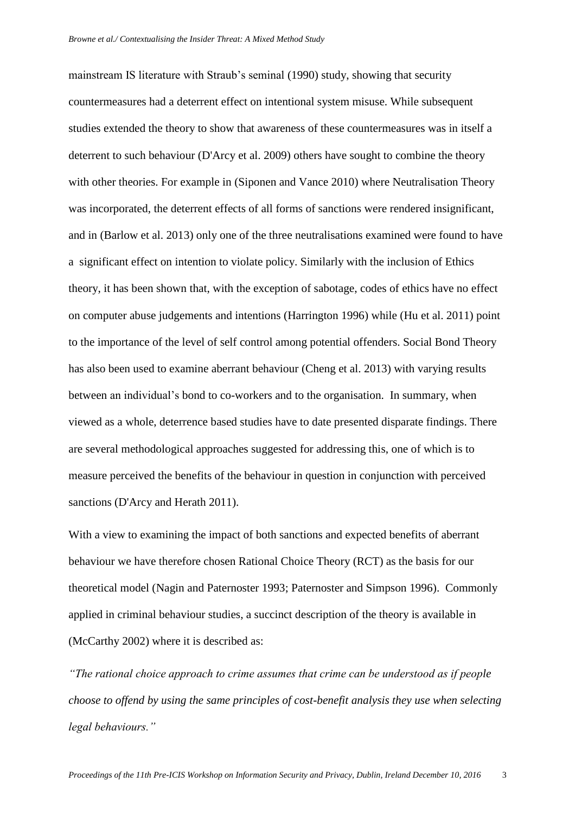mainstream IS literature with Straub's seminal [\(1990\)](#page-19-8) study, showing that security countermeasures had a deterrent effect on intentional system misuse. While subsequent studies extended the theory to show that awareness of these countermeasures was in itself a deterrent to such behaviour [\(D'Arcy et al. 2009\)](#page-18-3) others have sought to combine the theory with other theories. For example in [\(Siponen and Vance 2010\)](#page-19-5) where Neutralisation Theory was incorporated, the deterrent effects of all forms of sanctions were rendered insignificant, and in [\(Barlow et al. 2013\)](#page-18-5) only one of the three neutralisations examined were found to have a significant effect on intention to violate policy. Similarly with the inclusion of Ethics theory, it has been shown that, with the exception of sabotage, codes of ethics have no effect on computer abuse judgements and intentions [\(Harrington 1996\)](#page-18-6) while [\(Hu et al. 2011\)](#page-18-7) point to the importance of the level of self control among potential offenders. Social Bond Theory has also been used to examine aberrant behaviour [\(Cheng et al. 2013\)](#page-18-8) with varying results between an individual's bond to co-workers and to the organisation. In summary, when viewed as a whole, deterrence based studies have to date presented disparate findings. There are several methodological approaches suggested for addressing this, one of which is to measure perceived the benefits of the behaviour in question in conjunction with perceived sanctions [\(D'Arcy and Herath 2011\)](#page-18-9).

With a view to examining the impact of both sanctions and expected benefits of aberrant behaviour we have therefore chosen Rational Choice Theory (RCT) as the basis for our theoretical model [\(Nagin and Paternoster 1993;](#page-18-10) [Paternoster and Simpson 1996\)](#page-18-11). Commonly applied in criminal behaviour studies, a succinct description of the theory is available in [\(McCarthy 2002\)](#page-18-12) where it is described as:

*"The rational choice approach to crime assumes that crime can be understood as if people choose to offend by using the same principles of cost-benefit analysis they use when selecting legal behaviours."*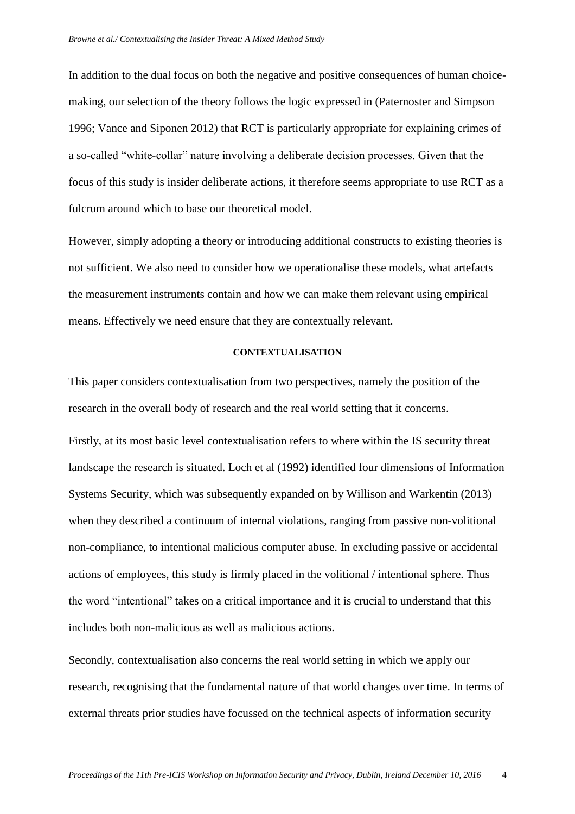In addition to the dual focus on both the negative and positive consequences of human choicemaking, our selection of the theory follows the logic expressed in [\(Paternoster and Simpson](#page-18-11)  [1996;](#page-18-11) [Vance and Siponen 2012\)](#page-19-9) that RCT is particularly appropriate for explaining crimes of a so-called "white-collar" nature involving a deliberate decision processes. Given that the focus of this study is insider deliberate actions, it therefore seems appropriate to use RCT as a fulcrum around which to base our theoretical model.

However, simply adopting a theory or introducing additional constructs to existing theories is not sufficient. We also need to consider how we operationalise these models, what artefacts the measurement instruments contain and how we can make them relevant using empirical means. Effectively we need ensure that they are contextually relevant.

#### **CONTEXTUALISATION**

This paper considers contextualisation from two perspectives, namely the position of the research in the overall body of research and the real world setting that it concerns.

Firstly, at its most basic level contextualisation refers to where within the IS security threat landscape the research is situated. Loch et al [\(1992\)](#page-18-13) identified four dimensions of Information Systems Security, which was subsequently expanded on by Willison and Warkentin [\(2013\)](#page-19-7) when they described a continuum of internal violations, ranging from passive non-volitional non-compliance, to intentional malicious computer abuse. In excluding passive or accidental actions of employees, this study is firmly placed in the volitional / intentional sphere. Thus the word "intentional" takes on a critical importance and it is crucial to understand that this includes both non-malicious as well as malicious actions.

Secondly, contextualisation also concerns the real world setting in which we apply our research, recognising that the fundamental nature of that world changes over time. In terms of external threats prior studies have focussed on the technical aspects of information security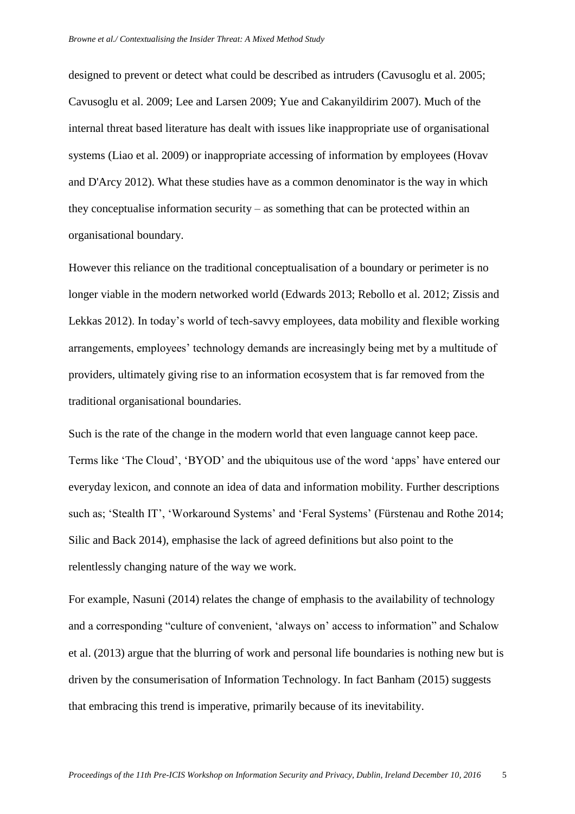designed to prevent or detect what could be described as intruders [\(Cavusoglu et al. 2005;](#page-18-14) [Cavusoglu et al. 2009;](#page-18-15) [Lee and Larsen 2009;](#page-18-16) [Yue and Cakanyildirim 2007\)](#page-19-10). Much of the internal threat based literature has dealt with issues like inappropriate use of organisational systems [\(Liao et al. 2009\)](#page-18-17) or inappropriate accessing of information by employees [\(Hovav](#page-18-18)  [and D'Arcy 2012\)](#page-18-18). What these studies have as a common denominator is the way in which they conceptualise information security – as something that can be protected within an organisational boundary.

However this reliance on the traditional conceptualisation of a boundary or perimeter is no longer viable in the modern networked world [\(Edwards 2013;](#page-18-19) [Rebollo et al. 2012;](#page-18-20) [Zissis and](#page-19-11)  [Lekkas 2012\)](#page-19-11). In today's world of tech-savvy employees, data mobility and flexible working arrangements, employees' technology demands are increasingly being met by a multitude of providers, ultimately giving rise to an information ecosystem that is far removed from the traditional organisational boundaries.

Such is the rate of the change in the modern world that even language cannot keep pace. Terms like 'The Cloud', 'BYOD' and the ubiquitous use of the word 'apps' have entered our everyday lexicon, and connote an idea of data and information mobility. Further descriptions such as; 'Stealth IT', 'Workaround Systems' and 'Feral Systems' [\(Fürstenau and Rothe 2014;](#page-18-21) [Silic and Back 2014\)](#page-19-12), emphasise the lack of agreed definitions but also point to the relentlessly changing nature of the way we work.

For example, Nasuni [\(2014\)](#page-18-22) relates the change of emphasis to the availability of technology and a corresponding "culture of convenient, 'always on' access to information" and Schalow et al. [\(2013\)](#page-19-13) argue that the blurring of work and personal life boundaries is nothing new but is driven by the consumerisation of Information Technology. In fact Banham [\(2015\)](#page-18-23) suggests that embracing this trend is imperative, primarily because of its inevitability.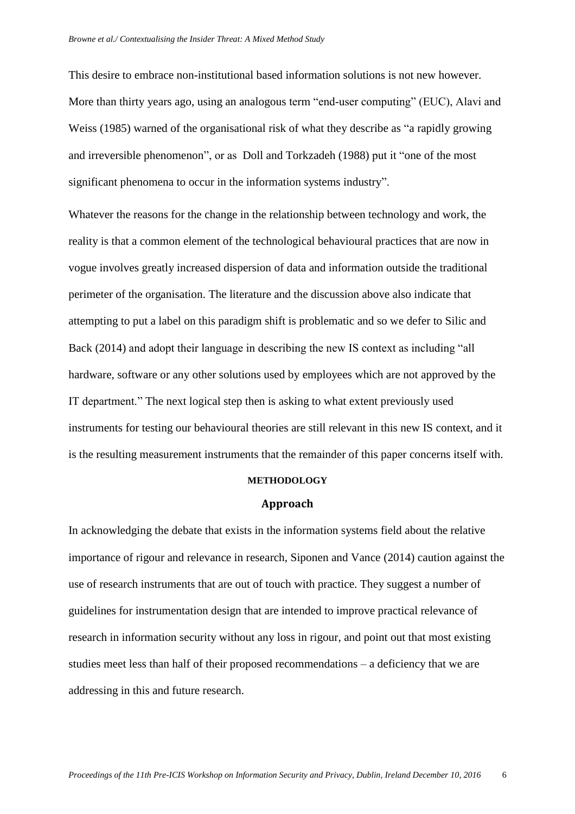This desire to embrace non-institutional based information solutions is not new however. More than thirty years ago, using an analogous term "end-user computing" (EUC), Alavi and Weiss [\(1985\)](#page-18-24) warned of the organisational risk of what they describe as "a rapidly growing and irreversible phenomenon", or as Doll and Torkzadeh [\(1988\)](#page-18-25) put it "one of the most significant phenomena to occur in the information systems industry".

Whatever the reasons for the change in the relationship between technology and work, the reality is that a common element of the technological behavioural practices that are now in vogue involves greatly increased dispersion of data and information outside the traditional perimeter of the organisation. The literature and the discussion above also indicate that attempting to put a label on this paradigm shift is problematic and so we defer to Silic and Back [\(2014\)](#page-19-12) and adopt their language in describing the new IS context as including "all hardware, software or any other solutions used by employees which are not approved by the IT department." The next logical step then is asking to what extent previously used instruments for testing our behavioural theories are still relevant in this new IS context, and it is the resulting measurement instruments that the remainder of this paper concerns itself with.

#### **METHODOLOGY**

#### **Approach**

In acknowledging the debate that exists in the information systems field about the relative importance of rigour and relevance in research, Siponen and Vance [\(2014\)](#page-19-14) caution against the use of research instruments that are out of touch with practice. They suggest a number of guidelines for instrumentation design that are intended to improve practical relevance of research in information security without any loss in rigour, and point out that most existing studies meet less than half of their proposed recommendations – a deficiency that we are addressing in this and future research.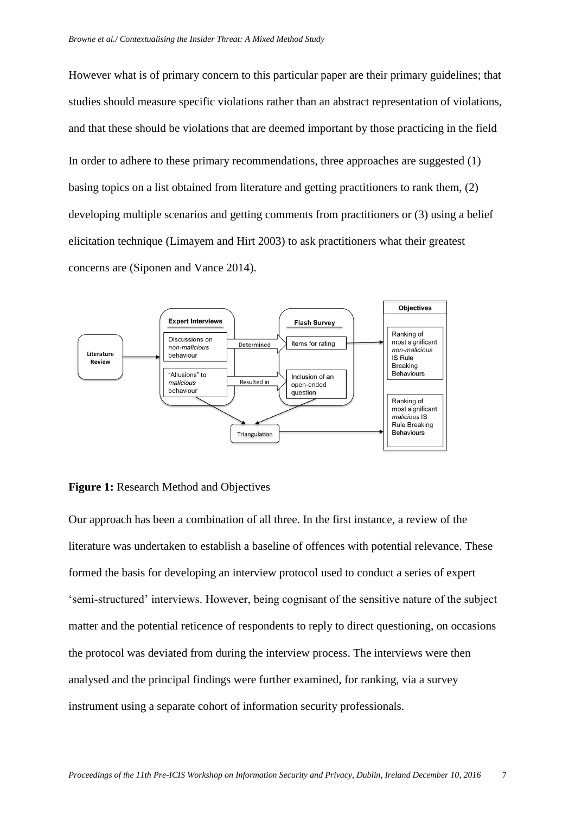However what is of primary concern to this particular paper are their primary guidelines; that studies should measure specific violations rather than an abstract representation of violations, and that these should be violations that are deemed important by those practicing in the field In order to adhere to these primary recommendations, three approaches are suggested (1) basing topics on a list obtained from literature and getting practitioners to rank them, (2) developing multiple scenarios and getting comments from practitioners or (3) using a belief elicitation technique [\(Limayem and Hirt 2003\)](#page-18-26) to ask practitioners what their greatest concerns are [\(Siponen and Vance 2014\)](#page-19-14).



## **Figure 1:** Research Method and Objectives

Our approach has been a combination of all three. In the first instance, a review of the literature was undertaken to establish a baseline of offences with potential relevance. These formed the basis for developing an interview protocol used to conduct a series of expert 'semi-structured' interviews. However, being cognisant of the sensitive nature of the subject matter and the potential reticence of respondents to reply to direct questioning, on occasions the protocol was deviated from during the interview process. The interviews were then analysed and the principal findings were further examined, for ranking, via a survey instrument using a separate cohort of information security professionals.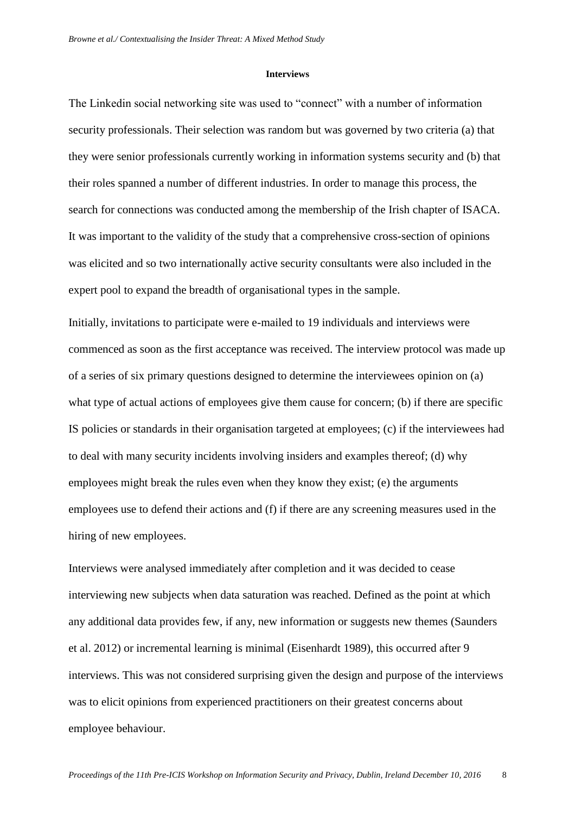#### **Interviews**

The Linkedin social networking site was used to "connect" with a number of information security professionals. Their selection was random but was governed by two criteria (a) that they were senior professionals currently working in information systems security and (b) that their roles spanned a number of different industries. In order to manage this process, the search for connections was conducted among the membership of the Irish chapter of ISACA. It was important to the validity of the study that a comprehensive cross-section of opinions was elicited and so two internationally active security consultants were also included in the expert pool to expand the breadth of organisational types in the sample.

Initially, invitations to participate were e-mailed to 19 individuals and interviews were commenced as soon as the first acceptance was received. The interview protocol was made up of a series of six primary questions designed to determine the interviewees opinion on (a) what type of actual actions of employees give them cause for concern; (b) if there are specific IS policies or standards in their organisation targeted at employees; (c) if the interviewees had to deal with many security incidents involving insiders and examples thereof; (d) why employees might break the rules even when they know they exist; (e) the arguments employees use to defend their actions and (f) if there are any screening measures used in the hiring of new employees.

Interviews were analysed immediately after completion and it was decided to cease interviewing new subjects when data saturation was reached. Defined as the point at which any additional data provides few, if any, new information or suggests new themes [\(Saunders](#page-19-15)  [et al. 2012\)](#page-19-15) or incremental learning is minimal [\(Eisenhardt 1989\)](#page-18-27), this occurred after 9 interviews. This was not considered surprising given the design and purpose of the interviews was to elicit opinions from experienced practitioners on their greatest concerns about employee behaviour.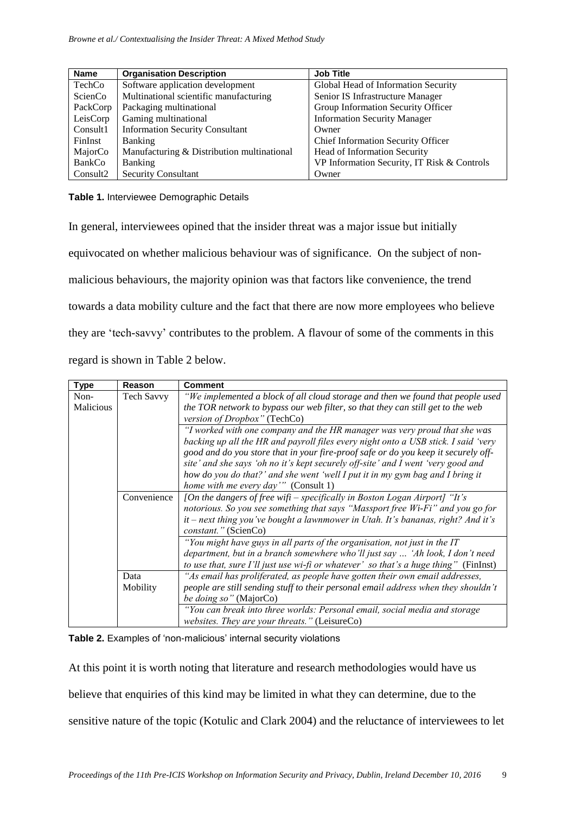| <b>Name</b>          | <b>Organisation Description</b>            | <b>Job Title</b>                            |
|----------------------|--------------------------------------------|---------------------------------------------|
| TechCo               | Software application development           | Global Head of Information Security         |
| ScienCo              | Multinational scientific manufacturing     | Senior IS Infrastructure Manager            |
| PackCorp             | Packaging multinational                    | Group Information Security Officer          |
| LeisCorp             | Gaming multinational                       | <b>Information Security Manager</b>         |
| Consult1             | <b>Information Security Consultant</b>     | Owner                                       |
| FinInst              | <b>Banking</b>                             | Chief Information Security Officer          |
| MajorCo              | Manufacturing & Distribution multinational | Head of Information Security                |
| BankCo               | <b>Banking</b>                             | VP Information Security, IT Risk & Controls |
| Consult <sub>2</sub> | <b>Security Consultant</b>                 | Owner                                       |

## **Table 1.** Interviewee Demographic Details

In general, interviewees opined that the insider threat was a major issue but initially equivocated on whether malicious behaviour was of significance. On the subject of nonmalicious behaviours, the majority opinion was that factors like convenience, the trend towards a data mobility culture and the fact that there are now more employees who believe they are 'tech-savvy' contributes to the problem. A flavour of some of the comments in this regard is shown in Table 2 below.

| <b>Type</b> | Reason            | <b>Comment</b>                                                                       |  |  |  |  |
|-------------|-------------------|--------------------------------------------------------------------------------------|--|--|--|--|
| Non-        | <b>Tech Savvy</b> | "We implemented a block of all cloud storage and then we found that people used      |  |  |  |  |
| Malicious   |                   | the TOR network to bypass our web filter, so that they can still get to the web      |  |  |  |  |
|             |                   | version of Dropbox" (TechCo)                                                         |  |  |  |  |
|             |                   | "I worked with one company and the HR manager was very proud that she was            |  |  |  |  |
|             |                   | backing up all the HR and payroll files every night onto a USB stick. I said 'very   |  |  |  |  |
|             |                   | good and do you store that in your fire-proof safe or do you keep it securely off-   |  |  |  |  |
|             |                   | site' and she says 'oh no it's kept securely off-site' and I went 'very good and     |  |  |  |  |
|             |                   | how do you do that?' and she went 'well I put it in my gym bag and I bring it        |  |  |  |  |
|             |                   | home with me every day'" (Consult 1)                                                 |  |  |  |  |
|             | Convenience       | [On the dangers of free wifi – specifically in Boston Logan Airport] "It's           |  |  |  |  |
|             |                   | notorious. So you see something that says "Massport free Wi-Fi" and you go for       |  |  |  |  |
|             |                   | it - next thing you've bought a lawnmower in Utah. It's bananas, right? And it's     |  |  |  |  |
|             |                   | constant." (ScienCo)                                                                 |  |  |  |  |
|             |                   | "You might have guys in all parts of the organisation, not just in the IT            |  |  |  |  |
|             |                   | department, but in a branch somewhere who'll just say  'Ah look, I don't need        |  |  |  |  |
|             |                   | to use that, sure I'll just use wi-fi or whatever' so that's a huge thing" (FinInst) |  |  |  |  |
|             | Data              | "As email has proliferated, as people have gotten their own email addresses,         |  |  |  |  |
|             | Mobility          | people are still sending stuff to their personal email address when they shouldn't   |  |  |  |  |
|             |                   | be doing so" (MajorCo)                                                               |  |  |  |  |
|             |                   | "You can break into three worlds: Personal email, social media and storage           |  |  |  |  |
|             |                   | websites. They are your threats." (LeisureCo)                                        |  |  |  |  |

**Table 2.** Examples of 'non-malicious' internal security violations

At this point it is worth noting that literature and research methodologies would have us believe that enquiries of this kind may be limited in what they can determine, due to the sensitive nature of the topic [\(Kotulic and Clark 2004\)](#page-18-28) and the reluctance of interviewees to let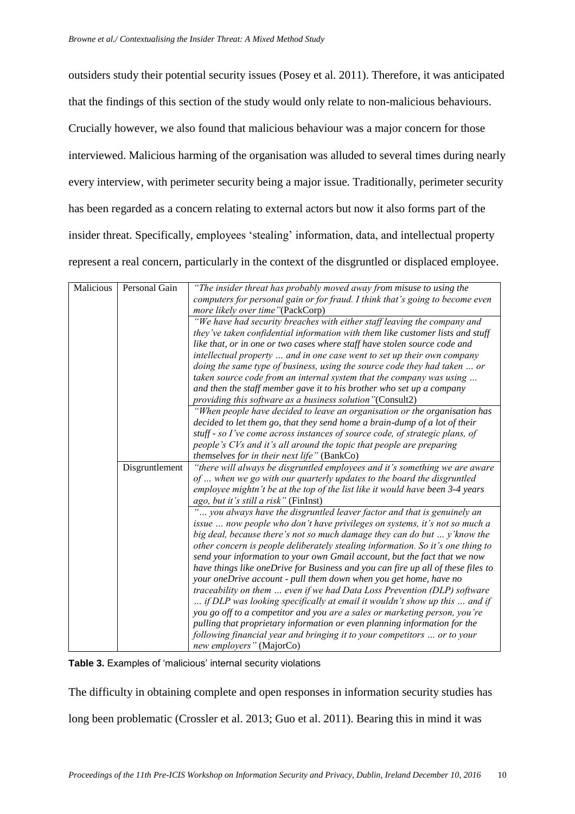outsiders study their potential security issues [\(Posey et al.](#page-18-29) 2011). Therefore, it was anticipated that the findings of this section of the study would only relate to non-malicious behaviours. Crucially however, we also found that malicious behaviour was a major concern for those interviewed. Malicious harming of the organisation was alluded to several times during nearly every interview, with perimeter security being a major issue. Traditionally, perimeter security has been regarded as a concern relating to external actors but now it also forms part of the insider threat. Specifically, employees 'stealing' information, data, and intellectual property represent a real concern, particularly in the context of the disgruntled or displaced employee.

| Malicious | Personal Gain                               | "The insider threat has probably moved away from misuse to using the             |  |  |  |  |
|-----------|---------------------------------------------|----------------------------------------------------------------------------------|--|--|--|--|
|           |                                             | computers for personal gain or for fraud. I think that's going to become even    |  |  |  |  |
|           |                                             | more likely over time"(PackCorp)                                                 |  |  |  |  |
|           |                                             | "We have had security breaches with either staff leaving the company and         |  |  |  |  |
|           |                                             | they've taken confidential information with them like customer lists and stuff   |  |  |  |  |
|           |                                             | like that, or in one or two cases where staff have stolen source code and        |  |  |  |  |
|           |                                             | intellectual property  and in one case went to set up their own company          |  |  |  |  |
|           |                                             | doing the same type of business, using the source code they had taken  or        |  |  |  |  |
|           |                                             | taken source code from an internal system that the company was using             |  |  |  |  |
|           |                                             | and then the staff member gave it to his brother who set up a company            |  |  |  |  |
|           |                                             | providing this software as a business solution"(Consult2)                        |  |  |  |  |
|           |                                             | "When people have decided to leave an organisation or the organisation has       |  |  |  |  |
|           |                                             | decided to let them go, that they send home a brain-dump of a lot of their       |  |  |  |  |
|           |                                             | stuff - so I've come across instances of source code, of strategic plans, of     |  |  |  |  |
|           |                                             | people's CVs and it's all around the topic that people are preparing             |  |  |  |  |
|           | themselves for in their next life" (BankCo) |                                                                                  |  |  |  |  |
|           | Disgruntlement                              | "there will always be disgruntled employees and it's something we are aware      |  |  |  |  |
|           |                                             | of  when we go with our quarterly updates to the board the disgruntled           |  |  |  |  |
|           |                                             | employee mightn't be at the top of the list like it would have been 3-4 years    |  |  |  |  |
|           |                                             | ago, but it's still a risk" (FinInst)                                            |  |  |  |  |
|           |                                             | " you always have the disgruntled leaver factor and that is genuinely an         |  |  |  |  |
|           |                                             | issue  now people who don't have privileges on systems, it's not so much a       |  |  |  |  |
|           |                                             | big deal, because there's not so much damage they can do but  y' know the        |  |  |  |  |
|           |                                             | other concern is people deliberately stealing information. So it's one thing to  |  |  |  |  |
|           |                                             | send your information to your own Gmail account, but the fact that we now        |  |  |  |  |
|           |                                             | have things like oneDrive for Business and you can fire up all of these files to |  |  |  |  |
|           |                                             | your oneDrive account - pull them down when you get home, have no                |  |  |  |  |
|           |                                             | traceability on them  even if we had Data Loss Prevention (DLP) software         |  |  |  |  |
|           |                                             | if DLP was looking specifically at email it wouldn't show up this  and if        |  |  |  |  |
|           |                                             | you go off to a competitor and you are a sales or marketing person, you're       |  |  |  |  |
|           |                                             | pulling that proprietary information or even planning information for the        |  |  |  |  |
|           |                                             | following financial year and bringing it to your competitors  or to your         |  |  |  |  |
|           |                                             | new employers" (MajorCo)                                                         |  |  |  |  |

**Table 3.** Examples of 'malicious' internal security violations

The difficulty in obtaining complete and open responses in information security studies has

long been problematic [\(Crossler et al. 2013;](#page-18-30) [Guo et al. 2011\)](#page-18-31). Bearing this in mind it was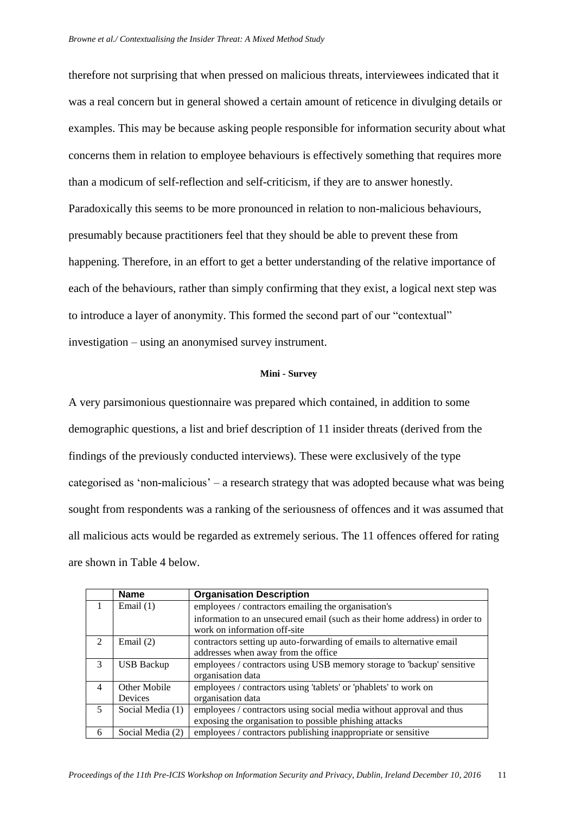therefore not surprising that when pressed on malicious threats, interviewees indicated that it was a real concern but in general showed a certain amount of reticence in divulging details or examples. This may be because asking people responsible for information security about what concerns them in relation to employee behaviours is effectively something that requires more than a modicum of self-reflection and self-criticism, if they are to answer honestly. Paradoxically this seems to be more pronounced in relation to non-malicious behaviours, presumably because practitioners feel that they should be able to prevent these from happening. Therefore, in an effort to get a better understanding of the relative importance of each of the behaviours, rather than simply confirming that they exist, a logical next step was to introduce a layer of anonymity. This formed the second part of our "contextual" investigation – using an anonymised survey instrument.

#### **Mini - Survey**

A very parsimonious questionnaire was prepared which contained, in addition to some demographic questions, a list and brief description of 11 insider threats (derived from the findings of the previously conducted interviews). These were exclusively of the type categorised as 'non-malicious' – a research strategy that was adopted because what was being sought from respondents was a ranking of the seriousness of offences and it was assumed that all malicious acts would be regarded as extremely serious. The 11 offences offered for rating are shown in Table 4 below.

|                | <b>Name</b>       | <b>Organisation Description</b>                                                                            |  |  |
|----------------|-------------------|------------------------------------------------------------------------------------------------------------|--|--|
|                | Email $(1)$       | employees / contractors emailing the organisation's                                                        |  |  |
|                |                   | information to an unsecured email (such as their home address) in order to<br>work on information off-site |  |  |
| $\mathfrak{D}$ | Email $(2)$       | contractors setting up auto-forwarding of emails to alternative email                                      |  |  |
|                |                   | addresses when away from the office                                                                        |  |  |
| $\mathcal{F}$  | <b>USB Backup</b> | employees / contractors using USB memory storage to 'backup' sensitive                                     |  |  |
|                |                   | organisation data                                                                                          |  |  |
| $\overline{4}$ | Other Mobile      | employees / contractors using 'tablets' or 'phablets' to work on                                           |  |  |
|                | <b>Devices</b>    | organisation data                                                                                          |  |  |
| 5              | Social Media (1)  | employees / contractors using social media without approval and thus                                       |  |  |
|                |                   | exposing the organisation to possible phishing attacks                                                     |  |  |
| 6              | Social Media (2)  | employees / contractors publishing inappropriate or sensitive                                              |  |  |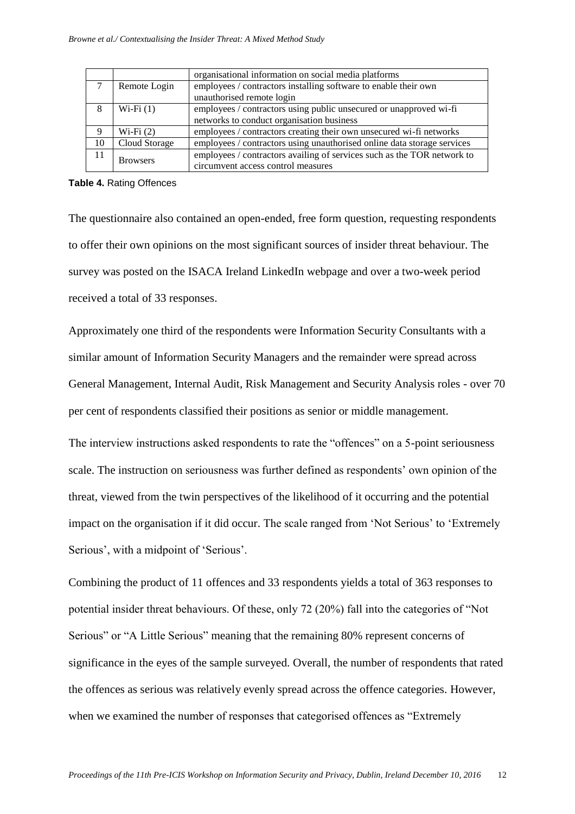|               |                 | organisational information on social media platforms                    |  |
|---------------|-----------------|-------------------------------------------------------------------------|--|
| $\mathcal{L}$ | Remote Login    | employees / contractors installing software to enable their own         |  |
|               |                 | unauthorised remote login                                               |  |
| 8             | $Wi-Fi(1)$      | employees / contractors using public unsecured or unapproved wi-fi      |  |
|               |                 | networks to conduct organisation business                               |  |
| 9             | $Wi-Fi(2)$      | employees / contractors creating their own unsecured wi-fi networks     |  |
| 10            | Cloud Storage   | employees / contractors using unauthorised online data storage services |  |
| 11            | <b>Browsers</b> | employees / contractors availing of services such as the TOR network to |  |
|               |                 | circumvent access control measures                                      |  |

#### **Table 4.** Rating Offences

The questionnaire also contained an open-ended, free form question, requesting respondents to offer their own opinions on the most significant sources of insider threat behaviour. The survey was posted on the ISACA Ireland LinkedIn webpage and over a two-week period received a total of 33 responses.

Approximately one third of the respondents were Information Security Consultants with a similar amount of Information Security Managers and the remainder were spread across General Management, Internal Audit, Risk Management and Security Analysis roles - over 70 per cent of respondents classified their positions as senior or middle management.

The interview instructions asked respondents to rate the "offences" on a 5-point seriousness scale. The instruction on seriousness was further defined as respondents' own opinion of the threat, viewed from the twin perspectives of the likelihood of it occurring and the potential impact on the organisation if it did occur. The scale ranged from 'Not Serious' to 'Extremely Serious', with a midpoint of 'Serious'.

Combining the product of 11 offences and 33 respondents yields a total of 363 responses to potential insider threat behaviours. Of these, only 72 (20%) fall into the categories of "Not Serious" or "A Little Serious" meaning that the remaining 80% represent concerns of significance in the eyes of the sample surveyed. Overall, the number of respondents that rated the offences as serious was relatively evenly spread across the offence categories. However, when we examined the number of responses that categorised offences as "Extremely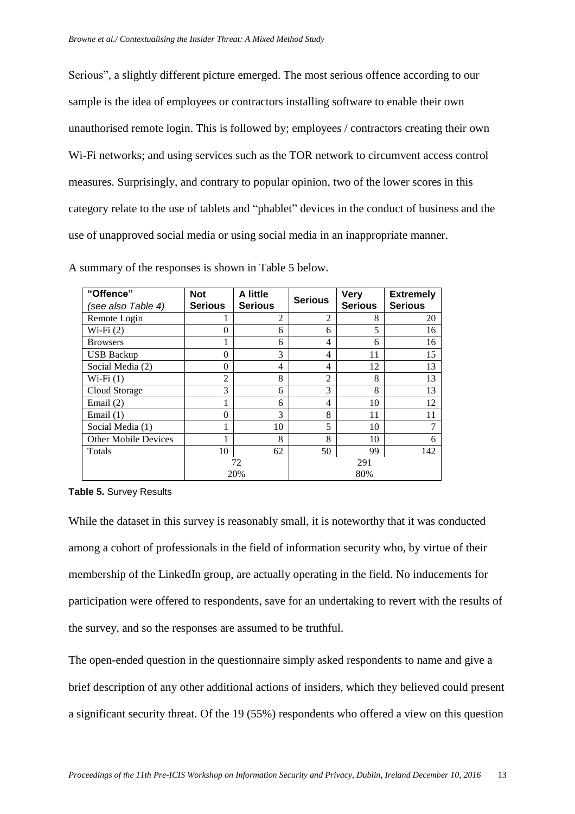Serious", a slightly different picture emerged. The most serious offence according to our sample is the idea of employees or contractors installing software to enable their own unauthorised remote login. This is followed by; employees / contractors creating their own Wi-Fi networks; and using services such as the TOR network to circumvent access control measures. Surprisingly, and contrary to popular opinion, two of the lower scores in this category relate to the use of tablets and "phablet" devices in the conduct of business and the use of unapproved social media or using social media in an inappropriate manner.

| "Offence"<br>(see also Table 4) | <b>Not</b><br><b>Serious</b> | A little<br><b>Serious</b> | <b>Serious</b> | <b>Very</b><br><b>Serious</b> | <b>Extremely</b><br><b>Serious</b> |
|---------------------------------|------------------------------|----------------------------|----------------|-------------------------------|------------------------------------|
| Remote Login                    |                              | 2                          | $\overline{2}$ | 8                             | 20                                 |
| $Wi-Fi(2)$                      | 0                            | 6                          | 6              | 5                             | 16                                 |
| <b>Browsers</b>                 |                              | 6                          | $\overline{4}$ | 6                             | 16                                 |
| <b>USB Backup</b>               | 0                            | 3                          | 4              | 11                            | 15                                 |
| Social Media (2)                | $\theta$                     | 4                          | $\overline{4}$ | 12                            | 13                                 |
| $Wi-Fi(1)$                      | $\overline{c}$               | 8                          | $\mathfrak{D}$ | 8                             | 13                                 |
| Cloud Storage                   | 3                            | 6                          | 3              | 8                             | 13                                 |
| Email $(2)$                     |                              | 6                          | $\overline{4}$ | 10                            | 12                                 |
| Email (1)                       | 0                            | 3                          | 8              | 11                            | 11                                 |
| Social Media (1)                |                              | 10                         | 5              | 10                            |                                    |
| <b>Other Mobile Devices</b>     |                              | 8                          | 8              | 10                            | 6                                  |
| Totals                          | 10                           | 62                         | 50             | 99                            | 142                                |
|                                 |                              | 72                         |                | 291                           |                                    |
|                                 |                              | 20%                        |                | 80%                           |                                    |

A summary of the responses is shown in Table 5 below.

**Table 5.** Survey Results

While the dataset in this survey is reasonably small, it is noteworthy that it was conducted among a cohort of professionals in the field of information security who, by virtue of their membership of the LinkedIn group, are actually operating in the field. No inducements for participation were offered to respondents, save for an undertaking to revert with the results of the survey, and so the responses are assumed to be truthful.

The open-ended question in the questionnaire simply asked respondents to name and give a brief description of any other additional actions of insiders, which they believed could present a significant security threat. Of the 19 (55%) respondents who offered a view on this question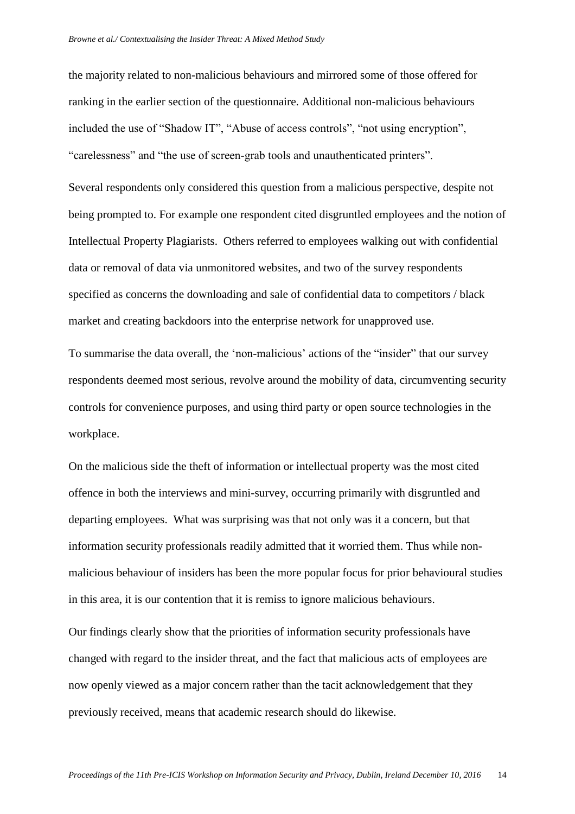the majority related to non-malicious behaviours and mirrored some of those offered for ranking in the earlier section of the questionnaire. Additional non-malicious behaviours included the use of "Shadow IT", "Abuse of access controls", "not using encryption", "carelessness" and "the use of screen-grab tools and unauthenticated printers".

Several respondents only considered this question from a malicious perspective, despite not being prompted to. For example one respondent cited disgruntled employees and the notion of Intellectual Property Plagiarists. Others referred to employees walking out with confidential data or removal of data via unmonitored websites, and two of the survey respondents specified as concerns the downloading and sale of confidential data to competitors / black market and creating backdoors into the enterprise network for unapproved use.

To summarise the data overall, the 'non-malicious' actions of the "insider" that our survey respondents deemed most serious, revolve around the mobility of data, circumventing security controls for convenience purposes, and using third party or open source technologies in the workplace.

On the malicious side the theft of information or intellectual property was the most cited offence in both the interviews and mini-survey, occurring primarily with disgruntled and departing employees. What was surprising was that not only was it a concern, but that information security professionals readily admitted that it worried them. Thus while nonmalicious behaviour of insiders has been the more popular focus for prior behavioural studies in this area, it is our contention that it is remiss to ignore malicious behaviours.

Our findings clearly show that the priorities of information security professionals have changed with regard to the insider threat, and the fact that malicious acts of employees are now openly viewed as a major concern rather than the tacit acknowledgement that they previously received, means that academic research should do likewise.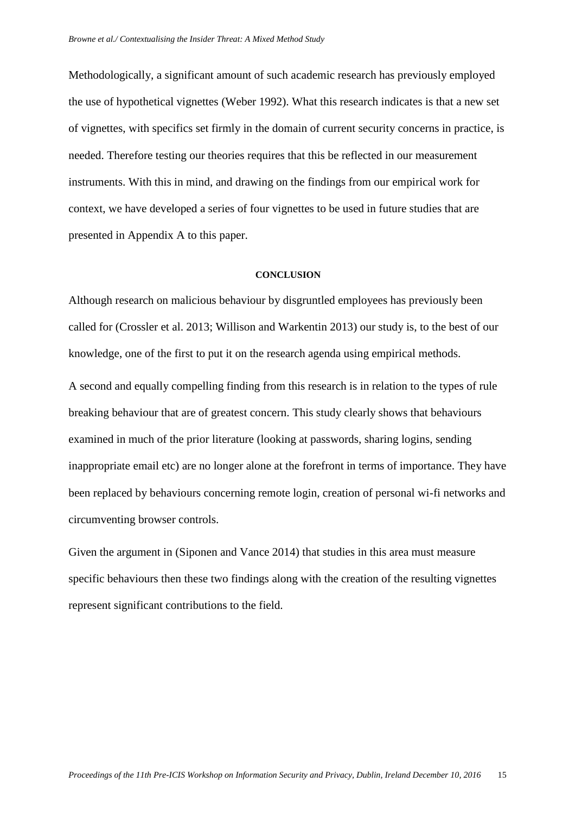Methodologically, a significant amount of such academic research has previously employed the use of hypothetical vignettes [\(Weber 1992\)](#page-19-16). What this research indicates is that a new set of vignettes, with specifics set firmly in the domain of current security concerns in practice, is needed. Therefore testing our theories requires that this be reflected in our measurement instruments. With this in mind, and drawing on the findings from our empirical work for context, we have developed a series of four vignettes to be used in future studies that are presented in Appendix A to this paper.

#### **CONCLUSION**

Although research on malicious behaviour by disgruntled employees has previously been called for [\(Crossler et al. 2013;](#page-18-30) [Willison and Warkentin 2013\)](#page-19-7) our study is, to the best of our knowledge, one of the first to put it on the research agenda using empirical methods.

A second and equally compelling finding from this research is in relation to the types of rule breaking behaviour that are of greatest concern. This study clearly shows that behaviours examined in much of the prior literature (looking at passwords, sharing logins, sending inappropriate email etc) are no longer alone at the forefront in terms of importance. They have been replaced by behaviours concerning remote login, creation of personal wi-fi networks and circumventing browser controls.

Given the argument in [\(Siponen and Vance 2014\)](#page-19-14) that studies in this area must measure specific behaviours then these two findings along with the creation of the resulting vignettes represent significant contributions to the field.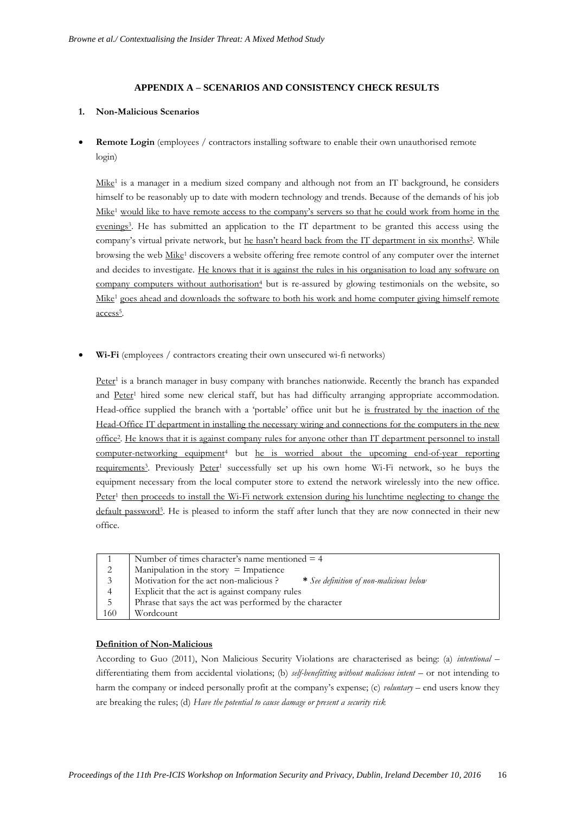#### **APPENDIX A – SCENARIOS AND CONSISTENCY CHECK RESULTS**

#### **1. Non-Malicious Scenarios**

• **Remote Login** (employees / contractors installing software to enable their own unauthorised remote login)

Mike<sup>1</sup> is a manager in a medium sized company and although not from an IT background, he considers himself to be reasonably up to date with modern technology and trends. Because of the demands of his job Mike<sup>1</sup> would like to have remote access to the company's servers so that he could work from home in the evenings<sup>3</sup>. He has submitted an application to the IT department to be granted this access using the company's virtual private network, but he hasn't heard back from the IT department in six months<sup>2</sup>. While browsing the web Mike<sup>1</sup> discovers a website offering free remote control of any computer over the internet and decides to investigate. He knows that it is against the rules in his organisation to load any software on company computers without authorisation<sup>4</sup> but is re-assured by glowing testimonials on the website, so Mike<sup>1</sup> goes ahead and downloads the software to both his work and home computer giving himself remote access<sup>5</sup>.

• **Wi-Fi** (employees / contractors creating their own unsecured wi-fi networks)

Peter<sup>1</sup> is a branch manager in busy company with branches nationwide. Recently the branch has expanded and Peter<sup>1</sup> hired some new clerical staff, but has had difficulty arranging appropriate accommodation. Head-office supplied the branch with a 'portable' office unit but he is frustrated by the inaction of the Head-Office IT department in installing the necessary wiring and connections for the computers in the new office<sup>2</sup> . He knows that it is against company rules for anyone other than IT department personnel to install computer-networking equipment<sup>4</sup> but he is worried about the upcoming end-of-year reporting requirements<sup>3</sup>. Previously Peter<sup>1</sup> successfully set up his own home Wi-Fi network, so he buys the equipment necessary from the local computer store to extend the network wirelessly into the new office. Peter<sup>1</sup> then proceeds to install the Wi-Fi network extension during his lunchtime neglecting to change the default password<sup>5</sup>. He is pleased to inform the staff after lunch that they are now connected in their new office.

|     | Number of times character's name mentioned $=$ 4                                 |
|-----|----------------------------------------------------------------------------------|
| 2   | Manipulation in the story $=$ Impatience                                         |
| 3   | Motivation for the act non-malicious?<br>* See definition of non-malicious below |
|     | Explicit that the act is against company rules                                   |
| 5   | Phrase that says the act was performed by the character                          |
| 160 | Wordcount                                                                        |

#### **Definition of Non-Malicious**

According to Guo (2011), Non Malicious Security Violations are characterised as being: (a) *intentional* – differentiating them from accidental violations; (b) *self-benefitting without malicious intent* – or not intending to harm the company or indeed personally profit at the company's expense; (c) *voluntary* – end users know they are breaking the rules; (d) *Have the potential to cause damage or present a security risk*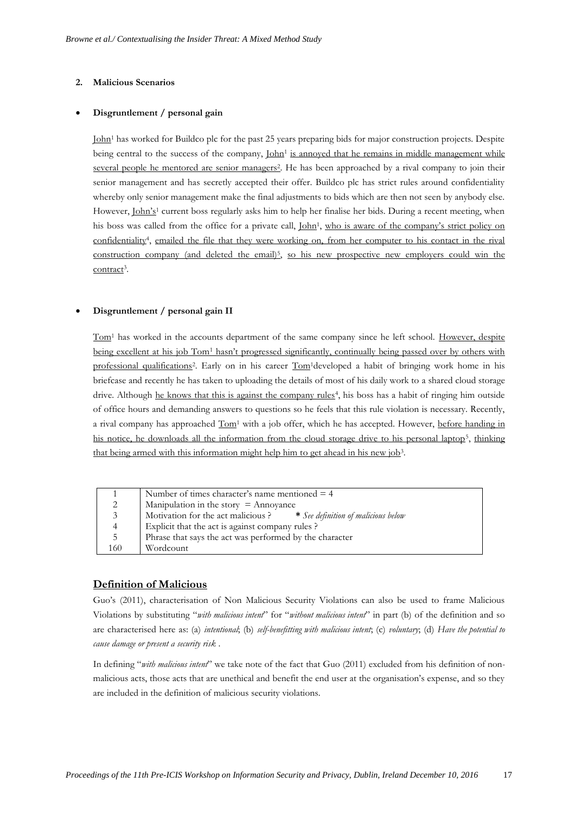#### **2. Malicious Scenarios**

#### • **Disgruntlement / personal gain**

John<sup>1</sup> has worked for Buildco plc for the past 25 years preparing bids for major construction projects. Despite being central to the success of the company, John<sup>1</sup> is annoyed that he remains in middle management while several people he mentored are senior managers<sup>2</sup>. He has been approached by a rival company to join their senior management and has secretly accepted their offer. Buildco plc has strict rules around confidentiality whereby only senior management make the final adjustments to bids which are then not seen by anybody else. However, John's<sup>1</sup> current boss regularly asks him to help her finalise her bids. During a recent meeting, when his boss was called from the office for a private call, <u>John<sup>1</sup>, who is aware of the company's strict policy on</u> confidentiality<sup>4</sup>, emailed the file that they were working on, from her computer to his contact in the rival construction company (and deleted the email)<sup>5</sup>, so his new prospective new employers could win the contract<sup>3</sup>.

#### • **Disgruntlement / personal gain II**

Tom<sup>1</sup> has worked in the accounts department of the same company since he left school. However, despite being excellent at his job Tom<sup>1</sup> hasn't progressed significantly, continually being passed over by others with professional qualifications<sup>2</sup>. Early on in his career  $\underline{\text{Tom}}^1$ developed a habit of bringing work home in his briefcase and recently he has taken to uploading the details of most of his daily work to a shared cloud storage drive. Although he knows that this is against the company rules<sup>4</sup>, his boss has a habit of ringing him outside of office hours and demanding answers to questions so he feels that this rule violation is necessary. Recently, a rival company has approached  $Tom<sup>1</sup>$  with a job offer, which he has accepted. However, before handing in his notice, he downloads all the information from the cloud storage drive to his personal laptop<sup>5</sup>, thinking that being armed with this information might help him to get ahead in his new job<sup>3</sup>.

|                | Number of times character's name mentioned $=$ 4                       |
|----------------|------------------------------------------------------------------------|
| 2              | Manipulation in the story $=$ Annoyance                                |
| 3 <sup>7</sup> | Motivation for the act malicious ? * See definition of malicious below |
| 4              | Explicit that the act is against company rules?                        |
| 5              | Phrase that says the act was performed by the character                |
| 160            | Wordcount                                                              |

## **Definition of Malicious**

Guo's (2011), characterisation of Non Malicious Security Violations can also be used to frame Malicious Violations by substituting "*with malicious intent*" for "*without malicious intent*" in part (b) of the definition and so are characterised here as: (a) *intentional*; (b) *self-benefitting with malicious intent*; (c) *voluntary*; (d) *Have the potential to cause damage or present a security risk* .

In defining "*with malicious intent*" we take note of the fact that Guo (2011) excluded from his definition of nonmalicious acts, those acts that are unethical and benefit the end user at the organisation's expense, and so they are included in the definition of malicious security violations.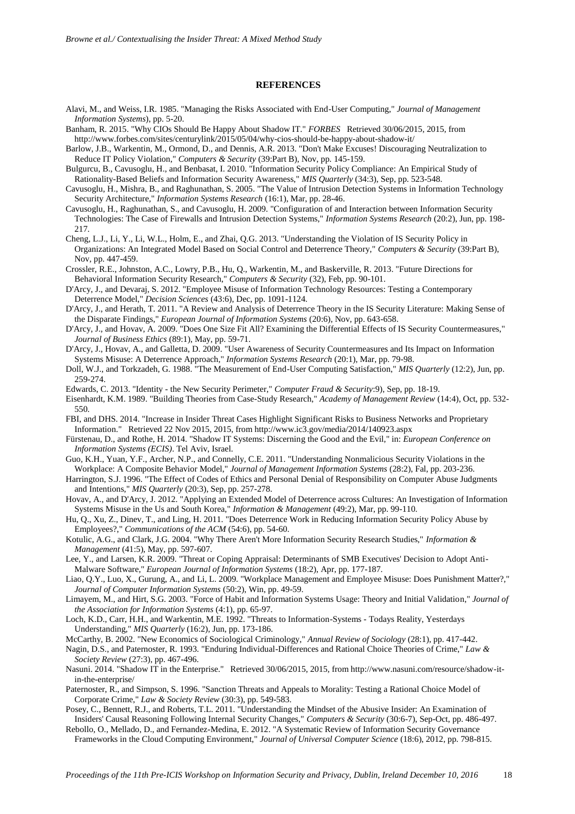#### **REFERENCES**

<span id="page-18-24"></span>Alavi, M., and Weiss, I.R. 1985. "Managing the Risks Associated with End-User Computing," *Journal of Management Information Systems*), pp. 5-20.

<span id="page-18-23"></span>Banham, R. 2015. "Why CIOs Should Be Happy About Shadow IT." *FORBES* Retrieved 30/06/2015, 2015, from http://www.forbes.com/sites/centurylink/2015/05/04/why-cios-should-be-happy-about-shadow-it/

- <span id="page-18-5"></span>Barlow, J.B., Warkentin, M., Ormond, D., and Dennis, A.R. 2013. "Don't Make Excuses! Discouraging Neutralization to Reduce IT Policy Violation," *Computers & Security* (39:Part B), Nov, pp. 145-159.
- <span id="page-18-4"></span>Bulgurcu, B., Cavusoglu, H., and Benbasat, I. 2010. "Information Security Policy Compliance: An Empirical Study of Rationality-Based Beliefs and Information Security Awareness," *MIS Quarterly* (34:3), Sep, pp. 523-548.
- <span id="page-18-14"></span>Cavusoglu, H., Mishra, B., and Raghunathan, S. 2005. "The Value of Intrusion Detection Systems in Information Technology Security Architecture," *Information Systems Research* (16:1), Mar, pp. 28-46.
- <span id="page-18-15"></span>Cavusoglu, H., Raghunathan, S., and Cavusoglu, H. 2009. "Configuration of and Interaction between Information Security Technologies: The Case of Firewalls and Intrusion Detection Systems," *Information Systems Research* (20:2), Jun, pp. 198- 217.
- <span id="page-18-8"></span>Cheng, L.J., Li, Y., Li, W.L., Holm, E., and Zhai, Q.G. 2013. "Understanding the Violation of IS Security Policy in Organizations: An Integrated Model Based on Social Control and Deterrence Theory," *Computers & Security* (39:Part B), Nov, pp. 447-459.
- <span id="page-18-30"></span>Crossler, R.E., Johnston, A.C., Lowry, P.B., Hu, Q., Warkentin, M., and Baskerville, R. 2013. "Future Directions for Behavioral Information Security Research," *Computers & Security* (32), Feb, pp. 90-101.
- <span id="page-18-1"></span>D'Arcy, J., and Devaraj, S. 2012. "Employee Misuse of Information Technology Resources: Testing a Contemporary Deterrence Model," *Decision Sciences* (43:6), Dec, pp. 1091-1124.
- <span id="page-18-9"></span>D'Arcy, J., and Herath, T. 2011. "A Review and Analysis of Deterrence Theory in the IS Security Literature: Making Sense of the Disparate Findings," *European Journal of Information Systems* (20:6), Nov, pp. 643-658.
- <span id="page-18-2"></span>D'Arcy, J., and Hovav, A. 2009. "Does One Size Fit All? Examining the Differential Effects of IS Security Countermeasures," *Journal of Business Ethics* (89:1), May, pp. 59-71.
- <span id="page-18-3"></span>D'Arcy, J., Hovav, A., and Galletta, D. 2009. "User Awareness of Security Countermeasures and Its Impact on Information Systems Misuse: A Deterrence Approach," *Information Systems Research* (20:1), Mar, pp. 79-98.
- <span id="page-18-25"></span>Doll, W.J., and Torkzadeh, G. 1988. "The Measurement of End-User Computing Satisfaction," *MIS Quarterly* (12:2), Jun, pp. 259-274.
- <span id="page-18-19"></span>Edwards, C. 2013. "Identity - the New Security Perimeter," *Computer Fraud & Security*:9), Sep, pp. 18-19.
- <span id="page-18-27"></span>Eisenhardt, K.M. 1989. "Building Theories from Case-Study Research," *Academy of Management Review* (14:4), Oct, pp. 532- 550.
- <span id="page-18-0"></span>FBI, and DHS. 2014. "Increase in Insider Threat Cases Highlight Significant Risks to Business Networks and Proprietary Information." Retrieved 22 Nov 2015, 2015, from http://www.ic3.gov/media/2014/140923.aspx
- <span id="page-18-21"></span>Fürstenau, D., and Rothe, H. 2014. "Shadow IT Systems: Discerning the Good and the Evil," in: *European Conference on Information Systems (ECIS)*. Tel Aviv, Israel.
- <span id="page-18-31"></span>Guo, K.H., Yuan, Y.F., Archer, N.P., and Connelly, C.E. 2011. "Understanding Nonmalicious Security Violations in the Workplace: A Composite Behavior Model," *Journal of Management Information Systems* (28:2), Fal, pp. 203-236.
- <span id="page-18-6"></span>Harrington, S.J. 1996. "The Effect of Codes of Ethics and Personal Denial of Responsibility on Computer Abuse Judgments and Intentions," *MIS Quarterly* (20:3), Sep, pp. 257-278.
- <span id="page-18-18"></span>Hovav, A., and D'Arcy, J. 2012. "Applying an Extended Model of Deterrence across Cultures: An Investigation of Information Systems Misuse in the Us and South Korea," *Information & Management* (49:2), Mar, pp. 99-110.
- <span id="page-18-7"></span>Hu, Q., Xu, Z., Dinev, T., and Ling, H. 2011. "Does Deterrence Work in Reducing Information Security Policy Abuse by Employees?," *Communications of the ACM* (54:6), pp. 54-60.
- <span id="page-18-28"></span>Kotulic, A.G., and Clark, J.G. 2004. "Why There Aren't More Information Security Research Studies," *Information & Management* (41:5), May, pp. 597-607.
- <span id="page-18-16"></span>Lee, Y., and Larsen, K.R. 2009. "Threat or Coping Appraisal: Determinants of SMB Executives' Decision to Adopt Anti-Malware Software," *European Journal of Information Systems* (18:2), Apr, pp. 177-187.
- <span id="page-18-17"></span>Liao, Q.Y., Luo, X., Gurung, A., and Li, L. 2009. "Workplace Management and Employee Misuse: Does Punishment Matter?," *Journal of Computer Information Systems* (50:2), Win, pp. 49-59.
- <span id="page-18-26"></span>Limayem, M., and Hirt, S.G. 2003. "Force of Habit and Information Systems Usage: Theory and Initial Validation," *Journal of the Association for Information Systems* (4:1), pp. 65-97.
- <span id="page-18-13"></span>Loch, K.D., Carr, H.H., and Warkentin, M.E. 1992. "Threats to Information-Systems - Todays Reality, Yesterdays Understanding," *MIS Quarterly* (16:2), Jun, pp. 173-186.
- <span id="page-18-12"></span>McCarthy, B. 2002. "New Economics of Sociological Criminology," *Annual Review of Sociology* (28:1), pp. 417-442.
- <span id="page-18-10"></span>Nagin, D.S., and Paternoster, R. 1993. "Enduring Individual-Differences and Rational Choice Theories of Crime," *Law & Society Review* (27:3), pp. 467-496.
- <span id="page-18-22"></span>Nasuni. 2014. "Shadow IT in the Enterprise." Retrieved 30/06/2015, 2015, from http://www.nasuni.com/resource/shadow-itin-the-enterprise/
- <span id="page-18-11"></span>Paternoster, R., and Simpson, S. 1996. "Sanction Threats and Appeals to Morality: Testing a Rational Choice Model of Corporate Crime," *Law & Society Review* (30:3), pp. 549-583.
- <span id="page-18-29"></span>Posey, C., Bennett, R.J., and Roberts, T.L. 2011. "Understanding the Mindset of the Abusive Insider: An Examination of Insiders' Causal Reasoning Following Internal Security Changes," *Computers & Security* (30:6-7), Sep-Oct, pp. 486-497.
- <span id="page-18-20"></span>Rebollo, O., Mellado, D., and Fernandez-Medina, E. 2012. "A Systematic Review of Information Security Governance Frameworks in the Cloud Computing Environment," *Journal of Universal Computer Science* (18:6), 2012, pp. 798-815.